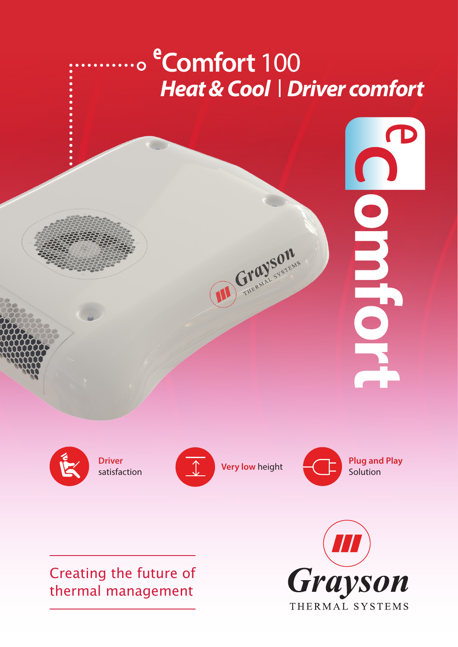# **e Comfort** 100 **Heat & Cool | Driver comfort**

CraySons



### Creating the future of thermal management



**ORBITOR**